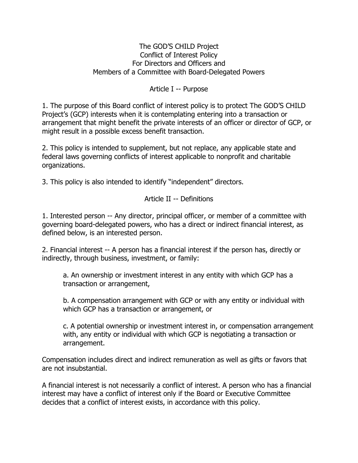#### The GOD'S CHILD Project Conflict of Interest Policy For Directors and Officers and Members of a Committee with Board-Delegated Powers

## Article I -- Purpose

1. The purpose of this Board conflict of interest policy is to protect The GOD'S CHILD Project's (GCP) interests when it is contemplating entering into a transaction or arrangement that might benefit the private interests of an officer or director of GCP, or might result in a possible excess benefit transaction.

2. This policy is intended to supplement, but not replace, any applicable state and federal laws governing conflicts of interest applicable to nonprofit and charitable organizations.

3. This policy is also intended to identify "independent" directors.

# Article II -- Definitions

1. Interested person -- Any director, principal officer, or member of a committee with governing board-delegated powers, who has a direct or indirect financial interest, as defined below, is an interested person.

2. Financial interest -- A person has a financial interest if the person has, directly or indirectly, through business, investment, or family:

a. An ownership or investment interest in any entity with which GCP has a transaction or arrangement,

b. A compensation arrangement with GCP or with any entity or individual with which GCP has a transaction or arrangement, or

c. A potential ownership or investment interest in, or compensation arrangement with, any entity or individual with which GCP is negotiating a transaction or arrangement.

Compensation includes direct and indirect remuneration as well as gifts or favors that are not insubstantial.

A financial interest is not necessarily a conflict of interest. A person who has a financial interest may have a conflict of interest only if the Board or Executive Committee decides that a conflict of interest exists, in accordance with this policy.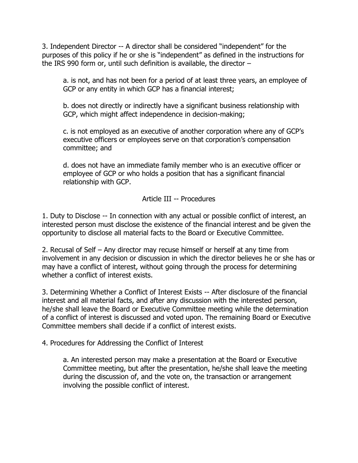3. Independent Director -- A director shall be considered "independent" for the purposes of this policy if he or she is "independent" as defined in the instructions for the IRS 990 form or, until such definition is available, the director –

a. is not, and has not been for a period of at least three years, an employee of GCP or any entity in which GCP has a financial interest;

b. does not directly or indirectly have a significant business relationship with GCP, which might affect independence in decision-making;

c. is not employed as an executive of another corporation where any of GCP's executive officers or employees serve on that corporation's compensation committee; and

d. does not have an immediate family member who is an executive officer or employee of GCP or who holds a position that has a significant financial relationship with GCP.

## Article III -- Procedures

1. Duty to Disclose -- In connection with any actual or possible conflict of interest, an interested person must disclose the existence of the financial interest and be given the opportunity to disclose all material facts to the Board or Executive Committee.

2. Recusal of Self – Any director may recuse himself or herself at any time from involvement in any decision or discussion in which the director believes he or she has or may have a conflict of interest, without going through the process for determining whether a conflict of interest exists.

3. Determining Whether a Conflict of Interest Exists -- After disclosure of the financial interest and all material facts, and after any discussion with the interested person, he/she shall leave the Board or Executive Committee meeting while the determination of a conflict of interest is discussed and voted upon. The remaining Board or Executive Committee members shall decide if a conflict of interest exists.

4. Procedures for Addressing the Conflict of Interest

a. An interested person may make a presentation at the Board or Executive Committee meeting, but after the presentation, he/she shall leave the meeting during the discussion of, and the vote on, the transaction or arrangement involving the possible conflict of interest.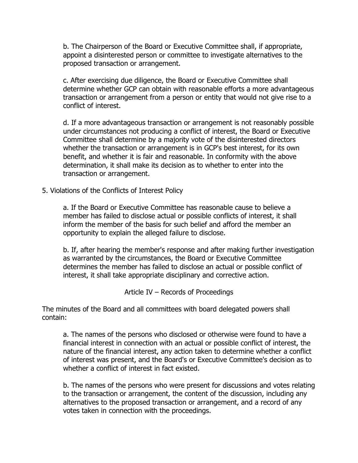b. The Chairperson of the Board or Executive Committee shall, if appropriate, appoint a disinterested person or committee to investigate alternatives to the proposed transaction or arrangement.

c. After exercising due diligence, the Board or Executive Committee shall determine whether GCP can obtain with reasonable efforts a more advantageous transaction or arrangement from a person or entity that would not give rise to a conflict of interest.

d. If a more advantageous transaction or arrangement is not reasonably possible under circumstances not producing a conflict of interest, the Board or Executive Committee shall determine by a majority vote of the disinterested directors whether the transaction or arrangement is in GCP's best interest, for its own benefit, and whether it is fair and reasonable. In conformity with the above determination, it shall make its decision as to whether to enter into the transaction or arrangement.

5. Violations of the Conflicts of Interest Policy

a. If the Board or Executive Committee has reasonable cause to believe a member has failed to disclose actual or possible conflicts of interest, it shall inform the member of the basis for such belief and afford the member an opportunity to explain the alleged failure to disclose.

b. If, after hearing the member's response and after making further investigation as warranted by the circumstances, the Board or Executive Committee determines the member has failed to disclose an actual or possible conflict of interest, it shall take appropriate disciplinary and corrective action.

Article IV – Records of Proceedings

The minutes of the Board and all committees with board delegated powers shall contain:

a. The names of the persons who disclosed or otherwise were found to have a financial interest in connection with an actual or possible conflict of interest, the nature of the financial interest, any action taken to determine whether a conflict of interest was present, and the Board's or Executive Committee's decision as to whether a conflict of interest in fact existed.

b. The names of the persons who were present for discussions and votes relating to the transaction or arrangement, the content of the discussion, including any alternatives to the proposed transaction or arrangement, and a record of any votes taken in connection with the proceedings.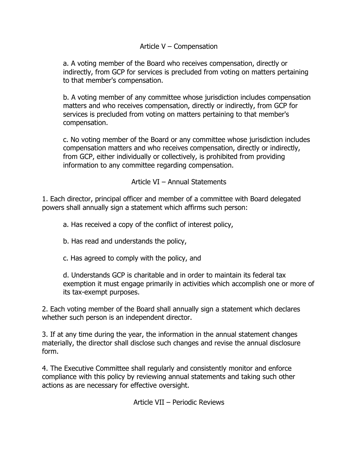### Article V – Compensation

a. A voting member of the Board who receives compensation, directly or indirectly, from GCP for services is precluded from voting on matters pertaining to that member's compensation.

b. A voting member of any committee whose jurisdiction includes compensation matters and who receives compensation, directly or indirectly, from GCP for services is precluded from voting on matters pertaining to that member's compensation.

c. No voting member of the Board or any committee whose jurisdiction includes compensation matters and who receives compensation, directly or indirectly, from GCP, either individually or collectively, is prohibited from providing information to any committee regarding compensation.

Article VI – Annual Statements

1. Each director, principal officer and member of a committee with Board delegated powers shall annually sign a statement which affirms such person:

a. Has received a copy of the conflict of interest policy,

b. Has read and understands the policy,

c. Has agreed to comply with the policy, and

d. Understands GCP is charitable and in order to maintain its federal tax exemption it must engage primarily in activities which accomplish one or more of its tax-exempt purposes.

2. Each voting member of the Board shall annually sign a statement which declares whether such person is an independent director.

3. If at any time during the year, the information in the annual statement changes materially, the director shall disclose such changes and revise the annual disclosure form.

4. The Executive Committee shall regularly and consistently monitor and enforce compliance with this policy by reviewing annual statements and taking such other actions as are necessary for effective oversight.

Article VII – Periodic Reviews